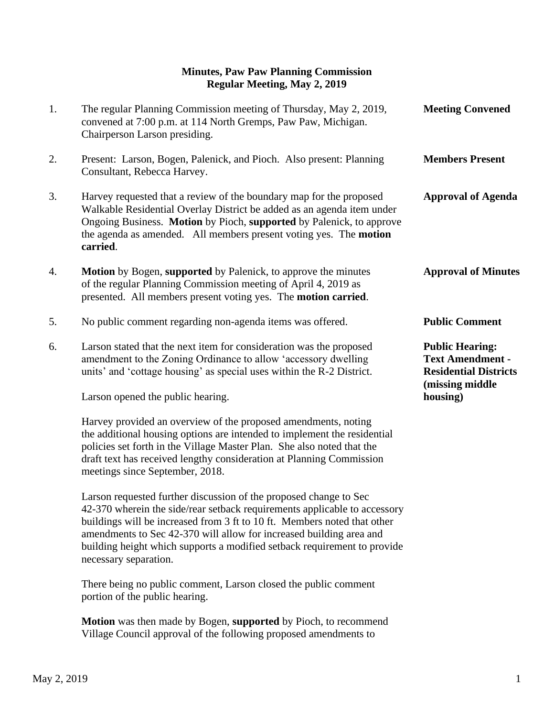## **Minutes, Paw Paw Planning Commission Regular Meeting, May 2, 2019**

| 1. | The regular Planning Commission meeting of Thursday, May 2, 2019,<br>convened at 7:00 p.m. at 114 North Gremps, Paw Paw, Michigan.<br>Chairperson Larson presiding.                                                                                                                                           | <b>Meeting Convened</b>                                                                                          |
|----|---------------------------------------------------------------------------------------------------------------------------------------------------------------------------------------------------------------------------------------------------------------------------------------------------------------|------------------------------------------------------------------------------------------------------------------|
| 2. | Present: Larson, Bogen, Palenick, and Pioch. Also present: Planning<br>Consultant, Rebecca Harvey.                                                                                                                                                                                                            | <b>Members Present</b>                                                                                           |
| 3. | Harvey requested that a review of the boundary map for the proposed<br>Walkable Residential Overlay District be added as an agenda item under<br>Ongoing Business. Motion by Pioch, supported by Palenick, to approve<br>the agenda as amended. All members present voting yes. The <b>motion</b><br>carried. | <b>Approval of Agenda</b>                                                                                        |
| 4. | <b>Motion</b> by Bogen, supported by Palenick, to approve the minutes<br>of the regular Planning Commission meeting of April 4, 2019 as<br>presented. All members present voting yes. The motion carried.                                                                                                     | <b>Approval of Minutes</b>                                                                                       |
| 5. | No public comment regarding non-agenda items was offered.                                                                                                                                                                                                                                                     | <b>Public Comment</b>                                                                                            |
| 6. | Larson stated that the next item for consideration was the proposed<br>amendment to the Zoning Ordinance to allow 'accessory dwelling<br>units' and 'cottage housing' as special uses within the R-2 District.<br>Larson opened the public hearing.                                                           | <b>Public Hearing:</b><br><b>Text Amendment -</b><br><b>Residential Districts</b><br>(missing middle<br>housing) |
|    | Harvey provided an overview of the proposed amendments, noting                                                                                                                                                                                                                                                |                                                                                                                  |

 There being no public comment, Larson closed the public comment portion of the public hearing.

Larson requested further discussion of the proposed change to Sec

 42-370 wherein the side/rear setback requirements applicable to accessory buildings will be increased from 3 ft to 10 ft. Members noted that other amendments to Sec 42-370 will allow for increased building area and building height which supports a modified setback requirement to provide

 **Motion** was then made by Bogen, **supported** by Pioch, to recommend Village Council approval of the following proposed amendments to

 the additional housing options are intended to implement the residential policies set forth in the Village Master Plan. She also noted that the draft text has received lengthy consideration at Planning Commission

meetings since September, 2018.

necessary separation.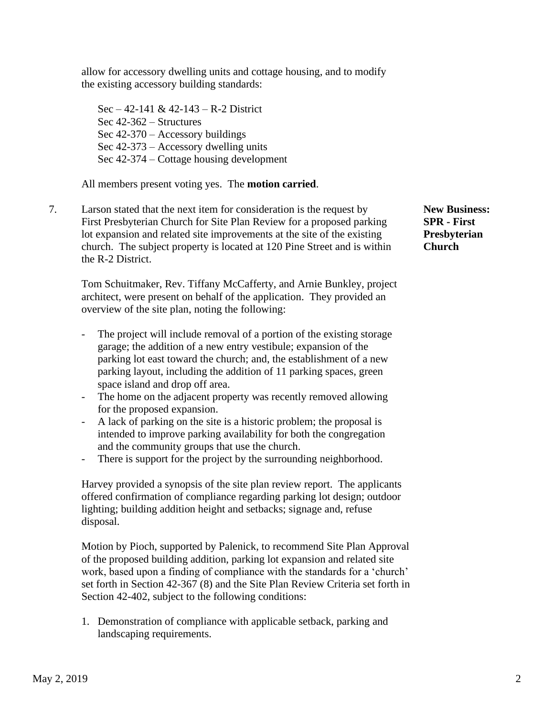allow for accessory dwelling units and cottage housing, and to modify the existing accessory building standards:

Sec – 42-141 & 42-143 – R-2 District Sec 42-362 – Structures Sec 42-370 – Accessory buildings Sec 42-373 – Accessory dwelling units Sec 42-374 – Cottage housing development

All members present voting yes. The **motion carried**.

7. Larson stated that the next item for consideration is the request by **New Business:**  First Presbyterian Church for Site Plan Review for a proposed parking **SPR - First** lot expansion and related site improvements at the site of the existing **Presbyterian** church. The subject property is located at 120 Pine Street and is within **Church** the R-2 District.

Tom Schuitmaker, Rev. Tiffany McCafferty, and Arnie Bunkley, project architect, were present on behalf of the application. They provided an overview of the site plan, noting the following:

- The project will include removal of a portion of the existing storage garage; the addition of a new entry vestibule; expansion of the parking lot east toward the church; and, the establishment of a new parking layout, including the addition of 11 parking spaces, green space island and drop off area.
- The home on the adjacent property was recently removed allowing for the proposed expansion.
- A lack of parking on the site is a historic problem; the proposal is intended to improve parking availability for both the congregation and the community groups that use the church.
- There is support for the project by the surrounding neighborhood.

Harvey provided a synopsis of the site plan review report. The applicants offered confirmation of compliance regarding parking lot design; outdoor lighting; building addition height and setbacks; signage and, refuse disposal.

Motion by Pioch, supported by Palenick, to recommend Site Plan Approval of the proposed building addition, parking lot expansion and related site work, based upon a finding of compliance with the standards for a 'church' set forth in Section 42-367 (8) and the Site Plan Review Criteria set forth in Section 42-402, subject to the following conditions:

1. Demonstration of compliance with applicable setback, parking and landscaping requirements.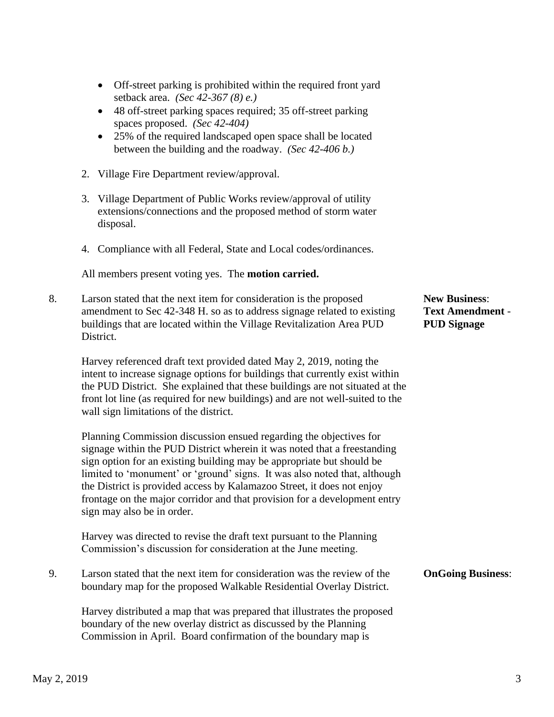- Off-street parking is prohibited within the required front yard setback area. *(Sec 42-367 (8) e.)*
- 48 off-street parking spaces required; 35 off-street parking spaces proposed. *(Sec 42-404)*
- 25% of the required landscaped open space shall be located between the building and the roadway. *(Sec 42-406 b.)*
- 2. Village Fire Department review/approval.
- 3. Village Department of Public Works review/approval of utility extensions/connections and the proposed method of storm water disposal.
- 4. Compliance with all Federal, State and Local codes/ordinances.

All members present voting yes. The **motion carried.**

8. Larson stated that the next item for consideration is the proposed **New Business**: amendment to Sec 42-348 H. so as to address signage related to existing **Text Amendment** buildings that are located within the Village Revitalization Area PUD **PUD Signage** District.

 Harvey referenced draft text provided dated May 2, 2019, noting the intent to increase signage options for buildings that currently exist within the PUD District. She explained that these buildings are not situated at the front lot line (as required for new buildings) and are not well-suited to the wall sign limitations of the district.

 Planning Commission discussion ensued regarding the objectives for signage within the PUD District wherein it was noted that a freestanding sign option for an existing building may be appropriate but should be limited to 'monument' or 'ground' signs. It was also noted that, although the District is provided access by Kalamazoo Street, it does not enjoy frontage on the major corridor and that provision for a development entry sign may also be in order.

 Harvey was directed to revise the draft text pursuant to the Planning Commission's discussion for consideration at the June meeting.

9. Larson stated that the next item for consideration was the review of the **OnGoing Business**: boundary map for the proposed Walkable Residential Overlay District.

 Harvey distributed a map that was prepared that illustrates the proposed boundary of the new overlay district as discussed by the Planning Commission in April. Board confirmation of the boundary map is